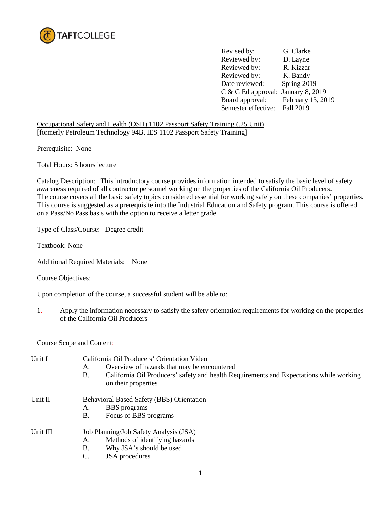

 Revised by: G. Clarke Reviewed by: D. Layne<br>Reviewed by: R. Kizzar Reviewed by: Reviewed by: K. Bandy Date reviewed: Spring 2019 C & G Ed approval: January 8, 2019 Board approval: February 13, 2019 Semester effective: Fall 2019

Occupational Safety and Health (OSH) 1102 Passport Safety Training (.25 Unit) [formerly Petroleum Technology 94B, IES 1102 Passport Safety Training]

Prerequisite: None

Total Hours: 5 hours lecture

Catalog Description: This introductory course provides information intended to satisfy the basic level of safety awareness required of all contractor personnel working on the properties of the California Oil Producers. The course covers all the basic safety topics considered essential for working safely on these companies' properties. This course is suggested as a prerequisite into the Industrial Education and Safety program. This course is offered on a Pass/No Pass basis with the option to receive a letter grade.

Type of Class/Course: Degree credit

Textbook: None

Additional Required Materials: None

Course Objectives:

Upon completion of the course, a successful student will be able to:

1. Apply the information necessary to satisfy the safety orientation requirements for working on the properties of the California Oil Producers

Course Scope and Content:

| Unit I   | California Oil Producers' Orientation Video<br>Overview of hazards that may be encountered<br>А.<br>California Oil Producers' safety and health Requirements and Expectations while working<br><b>B.</b><br>on their properties |
|----------|---------------------------------------------------------------------------------------------------------------------------------------------------------------------------------------------------------------------------------|
| Unit II  | <b>Behavioral Based Safety (BBS) Orientation</b><br><b>BBS</b> programs<br>А.<br>B.<br>Focus of BBS programs                                                                                                                    |
| Unit III | Job Planning/Job Safety Analysis (JSA)<br>Methods of identifying hazards<br>А.<br>Why JSA's should be used<br>B.<br><b>JSA</b> procedures<br>C.                                                                                 |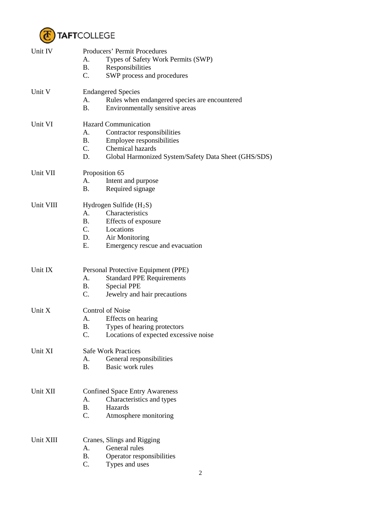

| Unit IV   | Producers' Permit Procedures                               |
|-----------|------------------------------------------------------------|
|           | Types of Safety Work Permits (SWP)<br>Α.                   |
|           | <b>B.</b><br>Responsibilities                              |
|           | $\mathcal{C}$ .<br>SWP process and procedures              |
| Unit V    | <b>Endangered Species</b>                                  |
|           | Rules when endangered species are encountered<br>А.        |
|           | В.<br>Environmentally sensitive areas                      |
| Unit VI   | <b>Hazard Communication</b>                                |
|           | Contractor responsibilities<br>Α.                          |
|           | <b>B</b> .<br>Employee responsibilities                    |
|           | $C_{\cdot}$<br>Chemical hazards                            |
|           | D.<br>Global Harmonized System/Safety Data Sheet (GHS/SDS) |
| Unit VII  | Proposition 65                                             |
|           | А.<br>Intent and purpose                                   |
|           | <b>B.</b><br>Required signage                              |
| Unit VIII | Hydrogen Sulfide $(H_2S)$                                  |
|           | Characteristics<br>$A_{\cdot}$                             |
|           | <b>B.</b><br>Effects of exposure                           |
|           | $C_{\cdot}$<br>Locations                                   |
|           | Air Monitoring<br>D.                                       |
|           | Е.<br>Emergency rescue and evacuation                      |
|           |                                                            |
| Unit IX   | Personal Protective Equipment (PPE)                        |
|           | <b>Standard PPE Requirements</b><br>А.                     |
|           | <b>B.</b><br><b>Special PPE</b>                            |
|           | C.<br>Jewelry and hair precautions                         |
| Unit X    | <b>Control of Noise</b>                                    |
|           | Effects on hearing<br>А.                                   |
|           | Β.<br>Types of hearing protectors                          |
|           | C.<br>Locations of expected excessive noise                |
| Unit XI   | <b>Safe Work Practices</b>                                 |
|           | General responsibilities<br>А.                             |
|           | <b>B.</b><br>Basic work rules                              |
|           |                                                            |
| Unit XII  | <b>Confined Space Entry Awareness</b>                      |
|           | А.<br>Characteristics and types                            |
|           | <b>B.</b><br>Hazards                                       |
|           | C.<br>Atmosphere monitoring                                |
| Unit XIII |                                                            |
|           | Cranes, Slings and Rigging<br>General rules<br>А.          |
|           | <b>B.</b><br>Operator responsibilities                     |
|           | C.<br>Types and uses                                       |
|           |                                                            |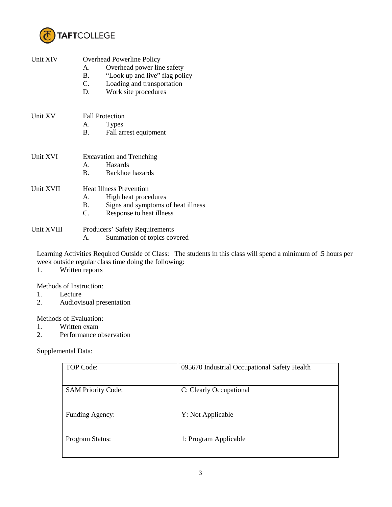

| Unit XIV   | <b>Overhead Powerline Policy</b><br>Overhead power line safety<br>$A_{-}$<br>"Look up and live" flag policy<br><b>B.</b><br>Loading and transportation<br>C.<br>Work site procedures<br>D. |
|------------|--------------------------------------------------------------------------------------------------------------------------------------------------------------------------------------------|
| Unit XV    | <b>Fall Protection</b>                                                                                                                                                                     |
|            | <b>Types</b><br>A.<br><b>B.</b><br>Fall arrest equipment                                                                                                                                   |
| Unit XVI   | <b>Excavation and Trenching</b>                                                                                                                                                            |
|            | Hazards<br>$\mathbf{A}$<br>Backhoe hazards<br>$\mathbf{B}$ .                                                                                                                               |
| Unit XVII  | <b>Heat Illness Prevention</b>                                                                                                                                                             |
|            | $A_{-}$<br>High heat procedures<br>Signs and symptoms of heat illness<br><b>B.</b><br>Response to heat illness<br>C.                                                                       |
| Unit XVIII | <b>Producers' Safety Requirements</b><br>Summation of topics covered<br>А.                                                                                                                 |

Learning Activities Required Outside of Class: The students in this class will spend a minimum of .5 hours per week outside regular class time doing the following:

1. Written reports

Methods of Instruction:

- 1. Lecture<br>2. Audiovi
- 2. Audiovisual presentation

Methods of Evaluation:

- 1. Written exam<br>2. Performance of
- Performance observation

Supplemental Data:

| TOP Code:                 | 095670 Industrial Occupational Safety Health |
|---------------------------|----------------------------------------------|
| <b>SAM Priority Code:</b> | C: Clearly Occupational                      |
| Funding Agency:           | Y: Not Applicable                            |
| Program Status:           | 1: Program Applicable                        |